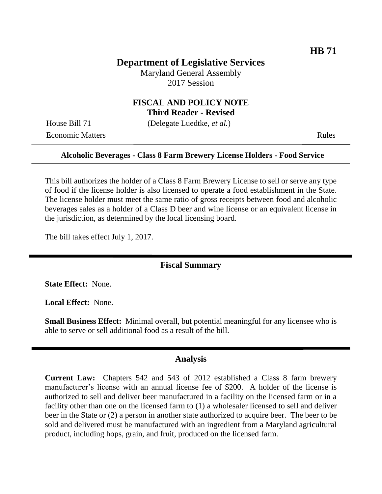# **Department of Legislative Services**

Maryland General Assembly 2017 Session

### **FISCAL AND POLICY NOTE Third Reader - Revised**

House Bill 71 (Delegate Luedtke, *et al.*)

Economic Matters **Rules** Rules

### **Alcoholic Beverages - Class 8 Farm Brewery License Holders - Food Service**

This bill authorizes the holder of a Class 8 Farm Brewery License to sell or serve any type of food if the license holder is also licensed to operate a food establishment in the State. The license holder must meet the same ratio of gross receipts between food and alcoholic beverages sales as a holder of a Class D beer and wine license or an equivalent license in the jurisdiction, as determined by the local licensing board.

The bill takes effect July 1, 2017.

### **Fiscal Summary**

**State Effect:** None.

**Local Effect:** None.

**Small Business Effect:** Minimal overall, but potential meaningful for any licensee who is able to serve or sell additional food as a result of the bill.

#### **Analysis**

**Current Law:** Chapters 542 and 543 of 2012 established a Class 8 farm brewery manufacturer's license with an annual license fee of \$200. A holder of the license is authorized to sell and deliver beer manufactured in a facility on the licensed farm or in a facility other than one on the licensed farm to (1) a wholesaler licensed to sell and deliver beer in the State or (2) a person in another state authorized to acquire beer. The beer to be sold and delivered must be manufactured with an ingredient from a Maryland agricultural product, including hops, grain, and fruit, produced on the licensed farm.